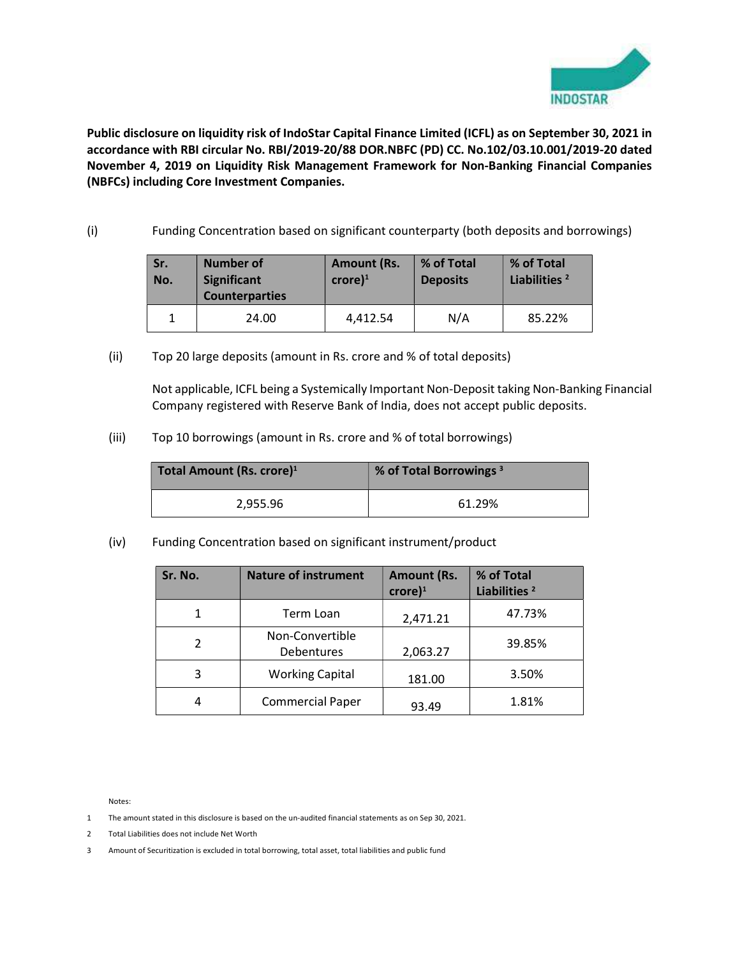

Public disclosure on liquidity risk of IndoStar Capital Finance Limited (ICFL) as on September 30, 2021 in accordance with RBI circular No. RBI/2019-20/88 DOR.NBFC (PD) CC. No.102/03.10.001/2019-20 dated November 4, 2019 on Liquidity Risk Management Framework for Non-Banking Financial Companies (NBFCs) including Core Investment Companies.

(i) Funding Concentration based on significant counterparty (both deposits and borrowings)

| Sr.<br>No. | <b>Number of</b><br><b>Significant</b><br><b>Counterparties</b> | <b>Amount (Rs.</b><br>$core)^1$ | % of Total<br><b>Deposits</b> | % of Total<br>Liabilities <sup>2</sup> |
|------------|-----------------------------------------------------------------|---------------------------------|-------------------------------|----------------------------------------|
|            | 24.00                                                           | 4.412.54                        | N/A                           | 85.22%                                 |

(ii) Top 20 large deposits (amount in Rs. crore and % of total deposits)

Not applicable, ICFL being a Systemically Important Non-Deposit taking Non-Banking Financial Company registered with Reserve Bank of India, does not accept public deposits.

(iii) Top 10 borrowings (amount in Rs. crore and % of total borrowings)

| Total Amount (Rs. crore) <sup>1</sup> | % of Total Borrowings <sup>3</sup> |  |
|---------------------------------------|------------------------------------|--|
| 2,955.96                              | 61.29%                             |  |

(iv) Funding Concentration based on significant instrument/product

| Sr. No. | <b>Nature of instrument</b>   | <b>Amount (Rs.</b><br>$\text{core}$ <sup>1</sup> | % of Total<br>Liabilities <sup>2</sup> |
|---------|-------------------------------|--------------------------------------------------|----------------------------------------|
|         | Term Loan                     | 2,471.21                                         | 47.73%                                 |
|         | Non-Convertible<br>Debentures | 2,063.27                                         | 39.85%                                 |
| 3       | <b>Working Capital</b>        | 181.00                                           | 3.50%                                  |
|         | <b>Commercial Paper</b>       | 93.49                                            | 1.81%                                  |

Notes:

- 1 The amount stated in this disclosure is based on the un-audited financial statements as on Sep 30, 2021.
- 2 Total Liabilities does not include Net Worth
- 3 Amount of Securitization is excluded in total borrowing, total asset, total liabilities and public fund